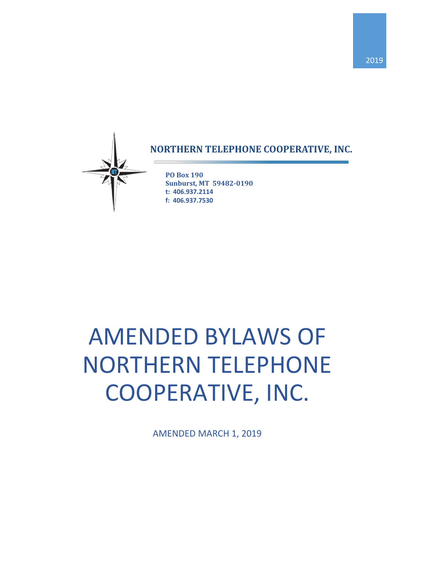

# **NORTHERN TELEPHONE COOPERATIVE, INC.**

**PO Box 190 Sunburst, MT 59482-0190 t: 406.937.2114 f: 406.937.7530**

# AMENDED BYLAWS OF NORTHERN TELEPHONE COOPERATIVE, INC.

AMENDED MARCH 1, 2019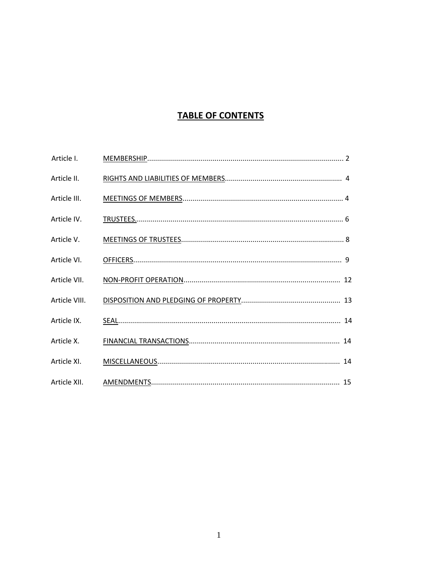# **TABLE OF CONTENTS**

| Article I.    |  |
|---------------|--|
| Article II.   |  |
| Article III.  |  |
| Article IV.   |  |
| Article V.    |  |
| Article VI.   |  |
| Article VII.  |  |
| Article VIII. |  |
| Article IX.   |  |
| Article X.    |  |
| Article XI.   |  |
| Article XII.  |  |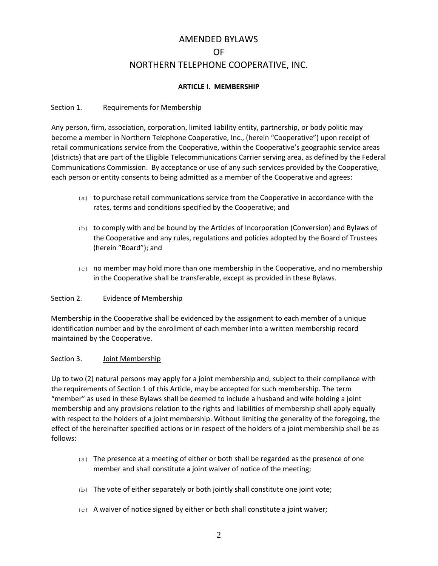# AMENDED BYLAWS OF NORTHERN TELEPHONE COOPERATIVE, INC.

#### **ARTICLE I. MEMBERSHIP**

#### Section 1. Requirements for Membership

Any person, firm, association, corporation, limited liability entity, partnership, or body politic may become a member in Northern Telephone Cooperative, Inc., (herein "Cooperative") upon receipt of retail communications service from the Cooperative, within the Cooperative's geographic service areas (districts) that are part of the Eligible Telecommunications Carrier serving area, as defined by the Federal Communications Commission. By acceptance or use of any such services provided by the Cooperative, each person or entity consents to being admitted as a member of the Cooperative and agrees:

- (a) to purchase retail communications service from the Cooperative in accordance with the rates, terms and conditions specified by the Cooperative; and
- (b) to comply with and be bound by the Articles of Incorporation (Conversion) and Bylaws of the Cooperative and any rules, regulations and policies adopted by the Board of Trustees (herein "Board"); and
- $(c)$  no member may hold more than one membership in the Cooperative, and no membership in the Cooperative shall be transferable, except as provided in these Bylaws.

#### Section 2. Evidence of Membership

Membership in the Cooperative shall be evidenced by the assignment to each member of a unique identification number and by the enrollment of each member into a written membership record maintained by the Cooperative.

#### Section 3. Joint Membership

Up to two (2) natural persons may apply for a joint membership and, subject to their compliance with the requirements of Section 1 of this Article, may be accepted for such membership. The term "member" as used in these Bylaws shall be deemed to include a husband and wife holding a joint membership and any provisions relation to the rights and liabilities of membership shall apply equally with respect to the holders of a joint membership. Without limiting the generality of the foregoing, the effect of the hereinafter specified actions or in respect of the holders of a joint membership shall be as follows:

- (a) The presence at a meeting of either or both shall be regarded as the presence of one member and shall constitute a joint waiver of notice of the meeting;
- (b) The vote of either separately or both jointly shall constitute one joint vote;
- (c) A waiver of notice signed by either or both shall constitute a joint waiver;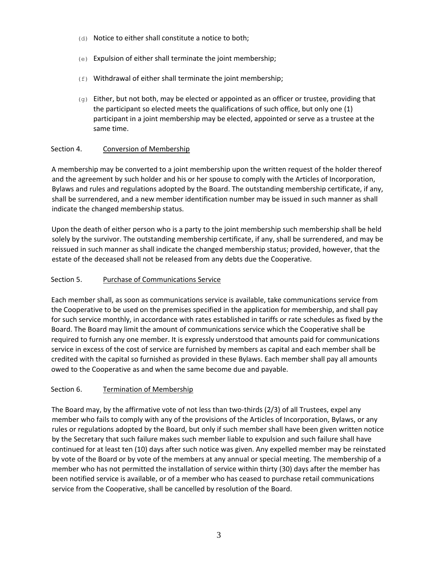- (d) Notice to either shall constitute a notice to both;
- (e) Expulsion of either shall terminate the joint membership;
- $(f)$  Withdrawal of either shall terminate the joint membership;
- $(q)$  Either, but not both, may be elected or appointed as an officer or trustee, providing that the participant so elected meets the qualifications of such office, but only one (1) participant in a joint membership may be elected, appointed or serve as a trustee at the same time.

# Section 4. Conversion of Membership

A membership may be converted to a joint membership upon the written request of the holder thereof and the agreement by such holder and his or her spouse to comply with the Articles of Incorporation, Bylaws and rules and regulations adopted by the Board. The outstanding membership certificate, if any, shall be surrendered, and a new member identification number may be issued in such manner as shall indicate the changed membership status.

Upon the death of either person who is a party to the joint membership such membership shall be held solely by the survivor. The outstanding membership certificate, if any, shall be surrendered, and may be reissued in such manner as shall indicate the changed membership status; provided, however, that the estate of the deceased shall not be released from any debts due the Cooperative.

#### Section 5. Purchase of Communications Service

Each member shall, as soon as communications service is available, take communications service from the Cooperative to be used on the premises specified in the application for membership, and shall pay for such service monthly, in accordance with rates established in tariffs or rate schedules as fixed by the Board. The Board may limit the amount of communications service which the Cooperative shall be required to furnish any one member. It is expressly understood that amounts paid for communications service in excess of the cost of service are furnished by members as capital and each member shall be credited with the capital so furnished as provided in these Bylaws. Each member shall pay all amounts owed to the Cooperative as and when the same become due and payable.

#### Section 6. Termination of Membership

The Board may, by the affirmative vote of not less than two-thirds (2/3) of all Trustees, expel any member who fails to comply with any of the provisions of the Articles of Incorporation, Bylaws, or any rules or regulations adopted by the Board, but only if such member shall have been given written notice by the Secretary that such failure makes such member liable to expulsion and such failure shall have continued for at least ten (10) days after such notice was given. Any expelled member may be reinstated by vote of the Board or by vote of the members at any annual or special meeting. The membership of a member who has not permitted the installation of service within thirty (30) days after the member has been notified service is available, or of a member who has ceased to purchase retail communications service from the Cooperative, shall be cancelled by resolution of the Board.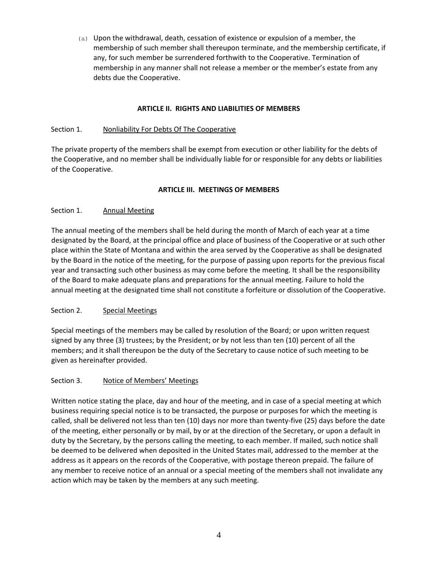(a) Upon the withdrawal, death, cessation of existence or expulsion of a member, the membership of such member shall thereupon terminate, and the membership certificate, if any, for such member be surrendered forthwith to the Cooperative. Termination of membership in any manner shall not release a member or the member's estate from any debts due the Cooperative.

# **ARTICLE II. RIGHTS AND LIABILITIES OF MEMBERS**

# Section 1. Nonliability For Debts Of The Cooperative

The private property of the members shall be exempt from execution or other liability for the debts of the Cooperative, and no member shall be individually liable for or responsible for any debts or liabilities of the Cooperative.

# **ARTICLE III. MEETINGS OF MEMBERS**

# Section 1. Annual Meeting

The annual meeting of the members shall be held during the month of March of each year at a time designated by the Board, at the principal office and place of business of the Cooperative or at such other place within the State of Montana and within the area served by the Cooperative as shall be designated by the Board in the notice of the meeting, for the purpose of passing upon reports for the previous fiscal year and transacting such other business as may come before the meeting. It shall be the responsibility of the Board to make adequate plans and preparations for the annual meeting. Failure to hold the annual meeting at the designated time shall not constitute a forfeiture or dissolution of the Cooperative.

#### Section 2. Special Meetings

Special meetings of the members may be called by resolution of the Board; or upon written request signed by any three (3) trustees; by the President; or by not less than ten (10) percent of all the members; and it shall thereupon be the duty of the Secretary to cause notice of such meeting to be given as hereinafter provided.

#### Section 3. Notice of Members' Meetings

Written notice stating the place, day and hour of the meeting, and in case of a special meeting at which business requiring special notice is to be transacted, the purpose or purposes for which the meeting is called, shall be delivered not less than ten (10) days nor more than twenty-five (25) days before the date of the meeting, either personally or by mail, by or at the direction of the Secretary, or upon a default in duty by the Secretary, by the persons calling the meeting, to each member. If mailed, such notice shall be deemed to be delivered when deposited in the United States mail, addressed to the member at the address as it appears on the records of the Cooperative, with postage thereon prepaid. The failure of any member to receive notice of an annual or a special meeting of the members shall not invalidate any action which may be taken by the members at any such meeting.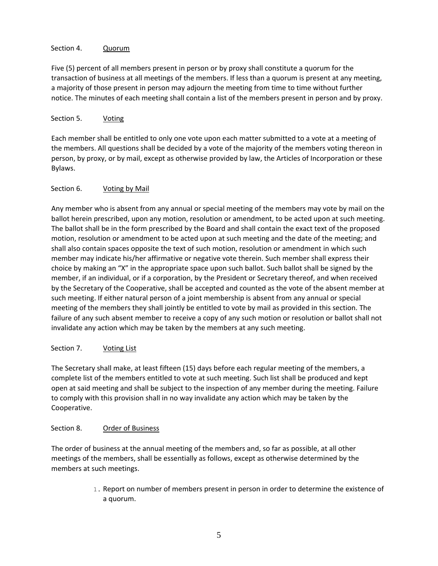# Section 4. Quorum

Five (5) percent of all members present in person or by proxy shall constitute a quorum for the transaction of business at all meetings of the members. If less than a quorum is present at any meeting, a majority of those present in person may adjourn the meeting from time to time without further notice. The minutes of each meeting shall contain a list of the members present in person and by proxy.

# Section 5. Voting

Each member shall be entitled to only one vote upon each matter submitted to a vote at a meeting of the members. All questions shall be decided by a vote of the majority of the members voting thereon in person, by proxy, or by mail, except as otherwise provided by law, the Articles of Incorporation or these Bylaws.

# Section 6. Voting by Mail

Any member who is absent from any annual or special meeting of the members may vote by mail on the ballot herein prescribed, upon any motion, resolution or amendment, to be acted upon at such meeting. The ballot shall be in the form prescribed by the Board and shall contain the exact text of the proposed motion, resolution or amendment to be acted upon at such meeting and the date of the meeting; and shall also contain spaces opposite the text of such motion, resolution or amendment in which such member may indicate his/her affirmative or negative vote therein. Such member shall express their choice by making an "X" in the appropriate space upon such ballot. Such ballot shall be signed by the member, if an individual, or if a corporation, by the President or Secretary thereof, and when received by the Secretary of the Cooperative, shall be accepted and counted as the vote of the absent member at such meeting. If either natural person of a joint membership is absent from any annual or special meeting of the members they shall jointly be entitled to vote by mail as provided in this section. The failure of any such absent member to receive a copy of any such motion or resolution or ballot shall not invalidate any action which may be taken by the members at any such meeting.

# Section 7. Voting List

The Secretary shall make, at least fifteen (15) days before each regular meeting of the members, a complete list of the members entitled to vote at such meeting. Such list shall be produced and kept open at said meeting and shall be subject to the inspection of any member during the meeting. Failure to comply with this provision shall in no way invalidate any action which may be taken by the Cooperative.

#### Section 8. Order of Business

The order of business at the annual meeting of the members and, so far as possible, at all other meetings of the members, shall be essentially as follows, except as otherwise determined by the members at such meetings.

> 1. Report on number of members present in person in order to determine the existence of a quorum.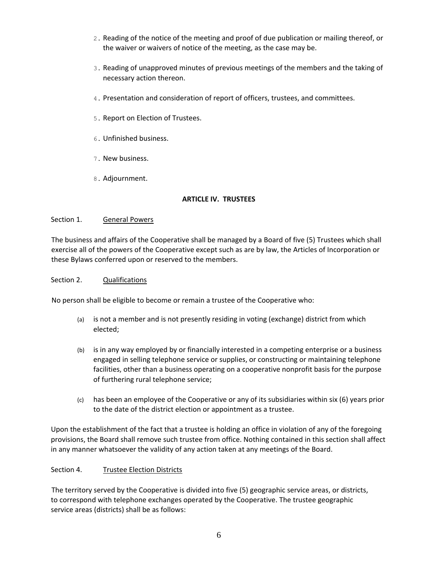- 2. Reading of the notice of the meeting and proof of due publication or mailing thereof, or the waiver or waivers of notice of the meeting, as the case may be.
- 3. Reading of unapproved minutes of previous meetings of the members and the taking of necessary action thereon.
- 4. Presentation and consideration of report of officers, trustees, and committees.
- 5. Report on Election of Trustees.
- 6. Unfinished business.
- 7. New business.
- 8. Adjournment.

# **ARTICLE IV. TRUSTEES**

# Section 1. General Powers

The business and affairs of the Cooperative shall be managed by a Board of five (5) Trustees which shall exercise all of the powers of the Cooperative except such as are by law, the Articles of Incorporation or these Bylaws conferred upon or reserved to the members.

#### Section 2. Qualifications

No person shall be eligible to become or remain a trustee of the Cooperative who:

- (a) is not a member and is not presently residing in voting (exchange) district from which elected;
- (b) is in any way employed by or financially interested in a competing enterprise or a business engaged in selling telephone service or supplies, or constructing or maintaining telephone facilities, other than a business operating on a cooperative nonprofit basis for the purpose of furthering rural telephone service;
- (c) has been an employee of the Cooperative or any of its subsidiaries within six (6) years prior to the date of the district election or appointment as a trustee.

Upon the establishment of the fact that a trustee is holding an office in violation of any of the foregoing provisions, the Board shall remove such trustee from office. Nothing contained in this section shall affect in any manner whatsoever the validity of any action taken at any meetings of the Board.

# Section 4. Trustee Election Districts

The territory served by the Cooperative is divided into five (5) geographic service areas, or districts, to correspond with telephone exchanges operated by the Cooperative. The trustee geographic service areas (districts) shall be as follows: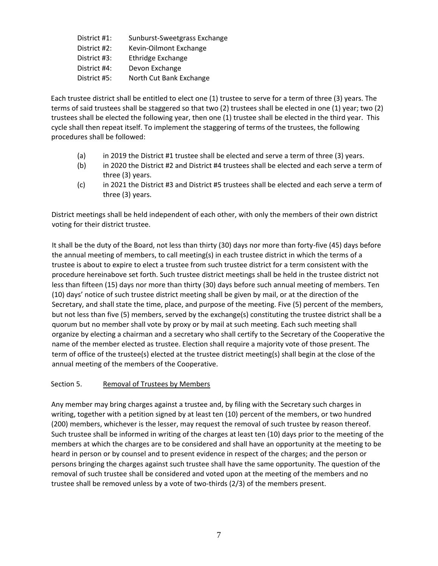District #1: Sunburst-Sweetgrass Exchange District #2: Kevin-Oilmont Exchange District #3: Ethridge Exchange District #4: Devon Exchange District #5: North Cut Bank Exchange

Each trustee district shall be entitled to elect one (1) trustee to serve for a term of three (3) years. The terms of said trustees shall be staggered so that two (2) trustees shall be elected in one (1) year; two (2) trustees shall be elected the following year, then one (1) trustee shall be elected in the third year. This cycle shall then repeat itself. To implement the staggering of terms of the trustees, the following procedures shall be followed:

- (a) in 2019 the District #1 trustee shall be elected and serve a term of three (3) years.
- (b) in 2020 the District #2 and District #4 trustees shall be elected and each serve a term of three (3) years.
- (c) in 2021 the District #3 and District #5 trustees shall be elected and each serve a term of three (3) years.

District meetings shall be held independent of each other, with only the members of their own district voting for their district trustee.

It shall be the duty of the Board, not less than thirty (30) days nor more than forty-five (45) days before the annual meeting of members, to call meeting(s) in each trustee district in which the terms of a trustee is about to expire to elect a trustee from such trustee district for a term consistent with the procedure hereinabove set forth. Such trustee district meetings shall be held in the trustee district not less than fifteen (15) days nor more than thirty (30) days before such annual meeting of members. Ten (10) days' notice of such trustee district meeting shall be given by mail, or at the direction of the Secretary, and shall state the time, place, and purpose of the meeting. Five (5) percent of the members, but not less than five (5) members, served by the exchange(s) constituting the trustee district shall be a quorum but no member shall vote by proxy or by mail at such meeting. Each such meeting shall organize by electing a chairman and a secretary who shall certify to the Secretary of the Cooperative the name of the member elected as trustee. Election shall require a majority vote of those present. The term of office of the trustee(s) elected at the trustee district meeting(s) shall begin at the close of the annual meeting of the members of the Cooperative.

# Section 5. Removal of Trustees by Members

Any member may bring charges against a trustee and, by filing with the Secretary such charges in writing, together with a petition signed by at least ten (10) percent of the members, or two hundred (200) members, whichever is the lesser, may request the removal of such trustee by reason thereof. Such trustee shall be informed in writing of the charges at least ten (10) days prior to the meeting of the members at which the charges are to be considered and shall have an opportunity at the meeting to be heard in person or by counsel and to present evidence in respect of the charges; and the person or persons bringing the charges against such trustee shall have the same opportunity. The question of the removal of such trustee shall be considered and voted upon at the meeting of the members and no trustee shall be removed unless by a vote of two-thirds (2/3) of the members present.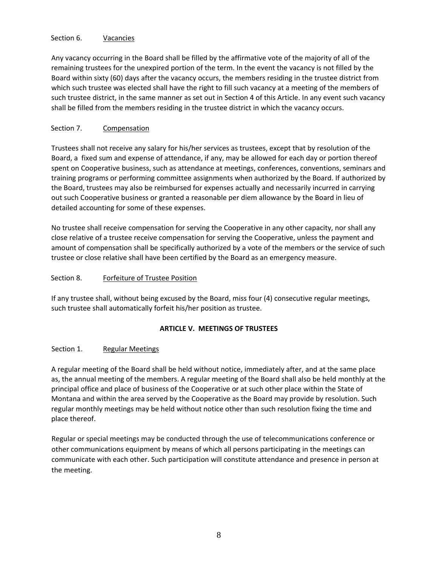#### Section 6. Vacancies

Any vacancy occurring in the Board shall be filled by the affirmative vote of the majority of all of the remaining trustees for the unexpired portion of the term. In the event the vacancy is not filled by the Board within sixty (60) days after the vacancy occurs, the members residing in the trustee district from which such trustee was elected shall have the right to fill such vacancy at a meeting of the members of such trustee district, in the same manner as set out in Section 4 of this Article. In any event such vacancy shall be filled from the members residing in the trustee district in which the vacancy occurs.

# Section 7. Compensation

Trustees shall not receive any salary for his/her services as trustees, except that by resolution of the Board, a fixed sum and expense of attendance, if any, may be allowed for each day or portion thereof spent on Cooperative business, such as attendance at meetings, conferences, conventions, seminars and training programs or performing committee assignments when authorized by the Board. If authorized by the Board, trustees may also be reimbursed for expenses actually and necessarily incurred in carrying out such Cooperative business or granted a reasonable per diem allowance by the Board in lieu of detailed accounting for some of these expenses.

No trustee shall receive compensation for serving the Cooperative in any other capacity, nor shall any close relative of a trustee receive compensation for serving the Cooperative, unless the payment and amount of compensation shall be specifically authorized by a vote of the members or the service of such trustee or close relative shall have been certified by the Board as an emergency measure.

#### Section 8. Forfeiture of Trustee Position

If any trustee shall, without being excused by the Board, miss four (4) consecutive regular meetings, such trustee shall automatically forfeit his/her position as trustee.

## **ARTICLE V. MEETINGS OF TRUSTEES**

#### Section 1. Regular Meetings

A regular meeting of the Board shall be held without notice, immediately after, and at the same place as, the annual meeting of the members. A regular meeting of the Board shall also be held monthly at the principal office and place of business of the Cooperative or at such other place within the State of Montana and within the area served by the Cooperative as the Board may provide by resolution. Such regular monthly meetings may be held without notice other than such resolution fixing the time and place thereof.

Regular or special meetings may be conducted through the use of telecommunications conference or other communications equipment by means of which all persons participating in the meetings can communicate with each other. Such participation will constitute attendance and presence in person at the meeting.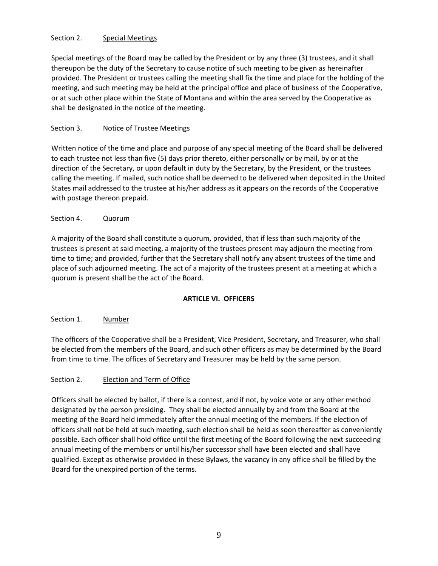# Section 2. Special Meetings

Special meetings of the Board may be called by the President or by any three (3) trustees, and it shall thereupon be the duty of the Secretary to cause notice of such meeting to be given as hereinafter provided. The President or trustees calling the meeting shall fix the time and place for the holding of the meeting, and such meeting may be held at the principal office and place of business of the Cooperative, or at such other place within the State of Montana and within the area served by the Cooperative as shall be designated in the notice of the meeting.

# Section 3. Notice of Trustee Meetings

Written notice of the time and place and purpose of any special meeting of the Board shall be delivered to each trustee not less than five (5) days prior thereto, either personally or by mail, by or at the direction of the Secretary, or upon default in duty by the Secretary, by the President, or the trustees calling the meeting. If mailed, such notice shall be deemed to be delivered when deposited in the United States mail addressed to the trustee at his/her address as it appears on the records of the Cooperative with postage thereon prepaid.

# Section 4. Quorum

A majority of the Board shall constitute a quorum, provided, that if less than such majority of the trustees is present at said meeting, a majority of the trustees present may adjourn the meeting from time to time; and provided, further that the Secretary shall notify any absent trustees of the time and place of such adjourned meeting. The act of a majority of the trustees present at a meeting at which a quorum is present shall be the act of the Board.

#### **ARTICLE VI. OFFICERS**

#### Section 1. Number

The officers of the Cooperative shall be a President, Vice President, Secretary, and Treasurer, who shall be elected from the members of the Board, and such other officers as may be determined by the Board from time to time. The offices of Secretary and Treasurer may be held by the same person.

#### Section 2. Election and Term of Office

Officers shall be elected by ballot, if there is a contest, and if not, by voice vote or any other method designated by the person presiding. They shall be elected annually by and from the Board at the meeting of the Board held immediately after the annual meeting of the members. If the election of officers shall not be held at such meeting, such election shall be held as soon thereafter as conveniently possible. Each officer shall hold office until the first meeting of the Board following the next succeeding annual meeting of the members or until his/her successor shall have been elected and shall have qualified. Except as otherwise provided in these Bylaws, the vacancy in any office shall be filled by the Board for the unexpired portion of the terms.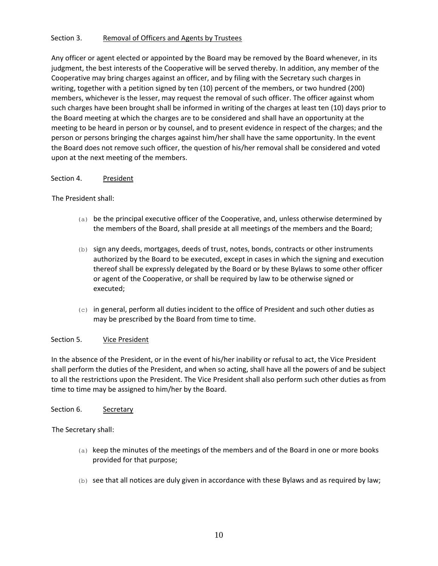#### Section 3. Removal of Officers and Agents by Trustees

Any officer or agent elected or appointed by the Board may be removed by the Board whenever, in its judgment, the best interests of the Cooperative will be served thereby. In addition, any member of the Cooperative may bring charges against an officer, and by filing with the Secretary such charges in writing, together with a petition signed by ten (10) percent of the members, or two hundred (200) members, whichever is the lesser, may request the removal of such officer. The officer against whom such charges have been brought shall be informed in writing of the charges at least ten (10) days prior to the Board meeting at which the charges are to be considered and shall have an opportunity at the meeting to be heard in person or by counsel, and to present evidence in respect of the charges; and the person or persons bringing the charges against him/her shall have the same opportunity. In the event the Board does not remove such officer, the question of his/her removal shall be considered and voted upon at the next meeting of the members.

#### Section 4. President

#### The President shall:

- $(a)$  be the principal executive officer of the Cooperative, and, unless otherwise determined by the members of the Board, shall preside at all meetings of the members and the Board;
- (b) sign any deeds, mortgages, deeds of trust, notes, bonds, contracts or other instruments authorized by the Board to be executed, except in cases in which the signing and execution thereof shall be expressly delegated by the Board or by these Bylaws to some other officer or agent of the Cooperative, or shall be required by law to be otherwise signed or executed;
- $(c)$  in general, perform all duties incident to the office of President and such other duties as may be prescribed by the Board from time to time.

#### Section 5. Vice President

In the absence of the President, or in the event of his/her inability or refusal to act, the Vice President shall perform the duties of the President, and when so acting, shall have all the powers of and be subject to all the restrictions upon the President. The Vice President shall also perform such other duties as from time to time may be assigned to him/her by the Board.

#### Section 6. Secretary

The Secretary shall:

- (a) keep the minutes of the meetings of the members and of the Board in one or more books provided for that purpose;
- $(b)$  see that all notices are duly given in accordance with these Bylaws and as required by law;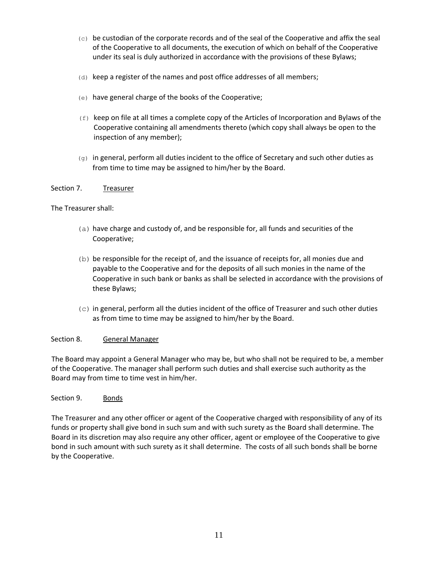- (c) be custodian of the corporate records and of the seal of the Cooperative and affix the seal of the Cooperative to all documents, the execution of which on behalf of the Cooperative under its seal is duly authorized in accordance with the provisions of these Bylaws;
- $(d)$  keep a register of the names and post office addresses of all members;
- (e) have general charge of the books of the Cooperative;
- $(f)$  keep on file at all times a complete copy of the Articles of Incorporation and Bylaws of the Cooperative containing all amendments thereto (which copy shall always be open to the inspection of any member);
- $(q)$  in general, perform all duties incident to the office of Secretary and such other duties as from time to time may be assigned to him/her by the Board.

#### Section 7. Treasurer

#### The Treasurer shall:

- (a) have charge and custody of, and be responsible for, all funds and securities of the Cooperative;
- (b) be responsible for the receipt of, and the issuance of receipts for, all monies due and payable to the Cooperative and for the deposits of all such monies in the name of the Cooperative in such bank or banks as shall be selected in accordance with the provisions of these Bylaws;
- (c) in general, perform all the duties incident of the office of Treasurer and such other duties as from time to time may be assigned to him/her by the Board.

#### Section 8. General Manager

The Board may appoint a General Manager who may be, but who shall not be required to be, a member of the Cooperative. The manager shall perform such duties and shall exercise such authority as the Board may from time to time vest in him/her.

#### Section 9. Bonds

The Treasurer and any other officer or agent of the Cooperative charged with responsibility of any of its funds or property shall give bond in such sum and with such surety as the Board shall determine. The Board in its discretion may also require any other officer, agent or employee of the Cooperative to give bond in such amount with such surety as it shall determine. The costs of all such bonds shall be borne by the Cooperative.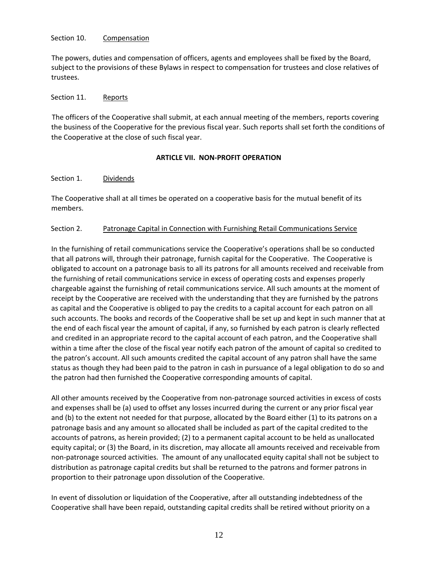#### Section 10. Compensation

The powers, duties and compensation of officers, agents and employees shall be fixed by the Board, subject to the provisions of these Bylaws in respect to compensation for trustees and close relatives of trustees.

#### Section 11. Reports

The officers of the Cooperative shall submit, at each annual meeting of the members, reports covering the business of the Cooperative for the previous fiscal year. Such reports shall set forth the conditions of the Cooperative at the close of such fiscal year.

#### **ARTICLE VII. NON-PROFIT OPERATION**

#### Section 1. Dividends

The Cooperative shall at all times be operated on a cooperative basis for the mutual benefit of its members.

#### Section 2. Patronage Capital in Connection with Furnishing Retail Communications Service

In the furnishing of retail communications service the Cooperative's operations shall be so conducted that all patrons will, through their patronage, furnish capital for the Cooperative. The Cooperative is obligated to account on a patronage basis to all its patrons for all amounts received and receivable from the furnishing of retail communications service in excess of operating costs and expenses properly chargeable against the furnishing of retail communications service. All such amounts at the moment of receipt by the Cooperative are received with the understanding that they are furnished by the patrons as capital and the Cooperative is obliged to pay the credits to a capital account for each patron on all such accounts. The books and records of the Cooperative shall be set up and kept in such manner that at the end of each fiscal year the amount of capital, if any, so furnished by each patron is clearly reflected and credited in an appropriate record to the capital account of each patron, and the Cooperative shall within a time after the close of the fiscal year notify each patron of the amount of capital so credited to the patron's account. All such amounts credited the capital account of any patron shall have the same status as though they had been paid to the patron in cash in pursuance of a legal obligation to do so and the patron had then furnished the Cooperative corresponding amounts of capital.

All other amounts received by the Cooperative from non-patronage sourced activities in excess of costs and expenses shall be (a) used to offset any losses incurred during the current or any prior fiscal year and (b) to the extent not needed for that purpose, allocated by the Board either (1) to its patrons on a patronage basis and any amount so allocated shall be included as part of the capital credited to the accounts of patrons, as herein provided; (2) to a permanent capital account to be held as unallocated equity capital; or (3) the Board, in its discretion, may allocate all amounts received and receivable from non-patronage sourced activities. The amount of any unallocated equity capital shall not be subject to distribution as patronage capital credits but shall be returned to the patrons and former patrons in proportion to their patronage upon dissolution of the Cooperative.

In event of dissolution or liquidation of the Cooperative, after all outstanding indebtedness of the Cooperative shall have been repaid, outstanding capital credits shall be retired without priority on a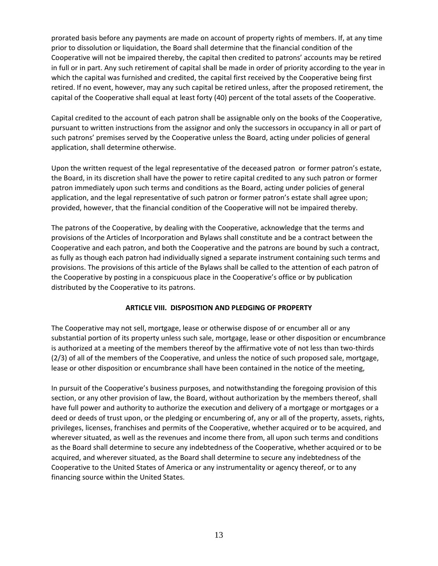prorated basis before any payments are made on account of property rights of members. If, at any time prior to dissolution or liquidation, the Board shall determine that the financial condition of the Cooperative will not be impaired thereby, the capital then credited to patrons' accounts may be retired in full or in part. Any such retirement of capital shall be made in order of priority according to the year in which the capital was furnished and credited, the capital first received by the Cooperative being first retired. If no event, however, may any such capital be retired unless, after the proposed retirement, the capital of the Cooperative shall equal at least forty (40) percent of the total assets of the Cooperative.

Capital credited to the account of each patron shall be assignable only on the books of the Cooperative, pursuant to written instructions from the assignor and only the successors in occupancy in all or part of such patrons' premises served by the Cooperative unless the Board, acting under policies of general application, shall determine otherwise.

Upon the written request of the legal representative of the deceased patron or former patron's estate, the Board, in its discretion shall have the power to retire capital credited to any such patron or former patron immediately upon such terms and conditions as the Board, acting under policies of general application, and the legal representative of such patron or former patron's estate shall agree upon; provided, however, that the financial condition of the Cooperative will not be impaired thereby.

The patrons of the Cooperative, by dealing with the Cooperative, acknowledge that the terms and provisions of the Articles of Incorporation and Bylaws shall constitute and be a contract between the Cooperative and each patron, and both the Cooperative and the patrons are bound by such a contract, as fully as though each patron had individually signed a separate instrument containing such terms and provisions. The provisions of this article of the Bylaws shall be called to the attention of each patron of the Cooperative by posting in a conspicuous place in the Cooperative's office or by publication distributed by the Cooperative to its patrons.

#### **ARTICLE VIII. DISPOSITION AND PLEDGING OF PROPERTY**

The Cooperative may not sell, mortgage, lease or otherwise dispose of or encumber all or any substantial portion of its property unless such sale, mortgage, lease or other disposition or encumbrance is authorized at a meeting of the members thereof by the affirmative vote of not less than two-thirds (2/3) of all of the members of the Cooperative, and unless the notice of such proposed sale, mortgage, lease or other disposition or encumbrance shall have been contained in the notice of the meeting,

In pursuit of the Cooperative's business purposes, and notwithstanding the foregoing provision of this section, or any other provision of law, the Board, without authorization by the members thereof, shall have full power and authority to authorize the execution and delivery of a mortgage or mortgages or a deed or deeds of trust upon, or the pledging or encumbering of, any or all of the property, assets, rights, privileges, licenses, franchises and permits of the Cooperative, whether acquired or to be acquired, and wherever situated, as well as the revenues and income there from, all upon such terms and conditions as the Board shall determine to secure any indebtedness of the Cooperative, whether acquired or to be acquired, and wherever situated, as the Board shall determine to secure any indebtedness of the Cooperative to the United States of America or any instrumentality or agency thereof, or to any financing source within the United States.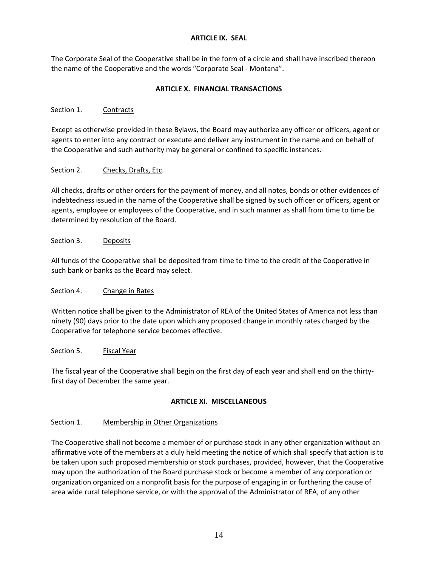#### **ARTICLE IX. SEAL**

The Corporate Seal of the Cooperative shall be in the form of a circle and shall have inscribed thereon the name of the Cooperative and the words "Corporate Seal - Montana".

# **ARTICLE X. FINANCIAL TRANSACTIONS**

# Section 1. Contracts

Except as otherwise provided in these Bylaws, the Board may authorize any officer or officers, agent or agents to enter into any contract or execute and deliver any instrument in the name and on behalf of the Cooperative and such authority may be general or confined to specific instances.

# Section 2. Checks, Drafts, Etc.

All checks, drafts or other orders for the payment of money, and all notes, bonds or other evidences of indebtedness issued in the name of the Cooperative shall be signed by such officer or officers, agent or agents, employee or employees of the Cooperative, and in such manner as shall from time to time be determined by resolution of the Board.

# Section 3. Deposits

All funds of the Cooperative shall be deposited from time to time to the credit of the Cooperative in such bank or banks as the Board may select.

# Section 4. Change in Rates

Written notice shall be given to the Administrator of REA of the United States of America not less than ninety (90) days prior to the date upon which any proposed change in monthly rates charged by the Cooperative for telephone service becomes effective.

# Section 5. Fiscal Year

The fiscal year of the Cooperative shall begin on the first day of each year and shall end on the thirtyfirst day of December the same year.

# **ARTICLE XI. MISCELLANEOUS**

# Section 1. Membership in Other Organizations

The Cooperative shall not become a member of or purchase stock in any other organization without an affirmative vote of the members at a duly held meeting the notice of which shall specify that action is to be taken upon such proposed membership or stock purchases, provided, however, that the Cooperative may upon the authorization of the Board purchase stock or become a member of any corporation or organization organized on a nonprofit basis for the purpose of engaging in or furthering the cause of area wide rural telephone service, or with the approval of the Administrator of REA, of any other